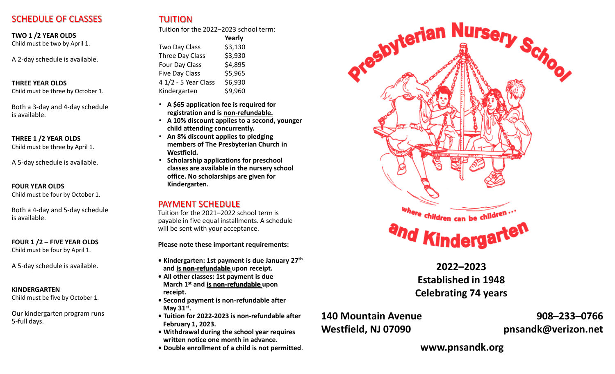## SCHEDULE OF CLASSES

**TWO 1 /2 YEAR OLDS** 

Child must be two by April 1.

A 2-day schedule is available.

### **THREE YEAR OLDS**

Child must be three by October 1.

Both a 3-day and 4-day schedule is available.

### **THREE 1 /2 YEAR OLDS**

Child must be three by April 1.

A 5-day schedule is available.

### **FOUR YEAR OLDS**

Child must be four by October 1.

Both a 4-day and 5-day schedule is available.

### **FOUR 1 /2 – FIVE YEAR OLDS**

Child must be four by April 1.

A 5-day schedule is available.

### **KINDERGARTEN**

Child must be five by October 1.

Our kindergarten program runs 5-full days.

Tuition for the 2022–2023 school term:

|                       | Yearly  |
|-----------------------|---------|
| Two Day Class         | \$3,130 |
| Three Day Class       | \$3,930 |
| Four Day Class        | \$4,895 |
| <b>Five Day Class</b> | \$5,965 |
| 4 1/2 - 5 Year Class  | \$6,930 |
| Kindergarten          | \$9,960 |

- **A \$65 application fee is required for registration and is non-refundable.**
- **A 10% discount applies to a second, younger child attending concurrently.**
- **An 8% discount applies to pledging members of The Presbyterian Church in Westfield.**
- **Scholarship applications for preschool classes are available in the nursery school office. No scholarships are given for Kindergarten.**

### PAYMENT SCHEDULE

Tuition for the 2021–2022 school term is payable in five equal installments. A schedule will be sent with your acceptance.

**Please note these important requirements:** 

- **Kindergarten: 1st payment is due January 27th and is non-refundable upon receipt.**
- **All other classes: 1st payment is due March 1st and is non-refundable upon receipt.**
- **Second payment is non-refundable after May 31st .**
- **Tuition for 2022-2023 is non-refundable after February 1, 2023.**
- **Withdrawal during the school year requires written notice one month in advance.**
- **Double enrollment of a child is not permitted**.



**2022–2023 Established in 1948 Celebrating 74 years**

## **140 Mountain Avenue Westfield, NJ 07090**

**908–233–0766 pnsandk@verizon.net**

**www.pnsandk.org**